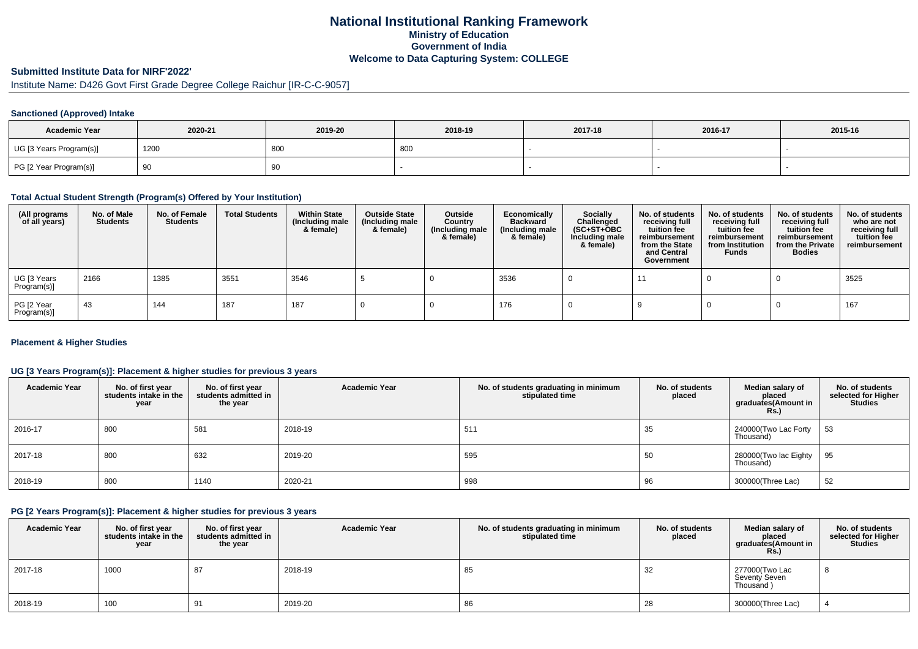## **National Institutional Ranking FrameworkMinistry of Education Government of IndiaWelcome to Data Capturing System: COLLEGE**

# **Submitted Institute Data for NIRF'2022'**

## Institute Name: D426 Govt First Grade Degree College Raichur [IR-C-C-9057]

#### **Sanctioned (Approved) Intake**

| <b>Academic Year</b>    | 2020-21 | 2019-20 | 2018-19 | 2017-18 | 2016-17 | 2015-16 |
|-------------------------|---------|---------|---------|---------|---------|---------|
| UG [3 Years Program(s)] | 1200    | 80C     | -800    |         |         |         |
| PG [2 Year Program(s)]  | ູບ      | 90      |         |         |         |         |

#### **Total Actual Student Strength (Program(s) Offered by Your Institution)**

| (All programs<br>of all years) | No. of Male<br><b>Students</b> | No. of Female<br><b>Students</b> | <b>Total Students</b> | <b>Within State</b><br>(Including male<br>& female) | <b>Outside State</b><br>(Including male<br>& female) | Outside<br>Country<br>(Including male<br>& female) | Economically<br><b>Backward</b><br>(Including male<br>& female) | <b>Socially</b><br>Challenged<br>$(SC+ST+OBC)$<br>Including male<br>& female) | No. of students<br>receiving full<br>tuition fee<br>reimbursement<br>from the State<br>and Central<br>Government | No. of students<br>receiving full<br>tuition fee<br>reimbursement<br>from Institution<br><b>Funds</b> | No. of students<br>receiving full<br>tuition fee<br>reimbursement<br>from the Private<br><b>Bodies</b> | No. of students<br>who are not<br>receiving full<br>tuition fee<br>reimbursement |
|--------------------------------|--------------------------------|----------------------------------|-----------------------|-----------------------------------------------------|------------------------------------------------------|----------------------------------------------------|-----------------------------------------------------------------|-------------------------------------------------------------------------------|------------------------------------------------------------------------------------------------------------------|-------------------------------------------------------------------------------------------------------|--------------------------------------------------------------------------------------------------------|----------------------------------------------------------------------------------|
| UG [3 Years<br>Program(s)]     | 2166                           | 1385                             | 3551                  | 3546                                                |                                                      |                                                    | 3536                                                            |                                                                               |                                                                                                                  |                                                                                                       |                                                                                                        | 3525                                                                             |
| PG [2 Year<br>Program(s)]      | -43                            | 144                              | 187                   | 187                                                 |                                                      |                                                    | 176                                                             |                                                                               |                                                                                                                  |                                                                                                       |                                                                                                        | 167                                                                              |

#### **Placement & Higher Studies**

#### **UG [3 Years Program(s)]: Placement & higher studies for previous 3 years**

| <b>Academic Year</b> | No. of first year<br>students intake in the<br>year | No. of first vear<br>students admitted in<br>the year | <b>Academic Year</b> | No. of students graduating in minimum<br>stipulated time | No. of students<br>placed | Median salary of<br>placed<br>graduates(Amount in<br>Rs.) | No. of students<br>selected for Higher<br><b>Studies</b> |
|----------------------|-----------------------------------------------------|-------------------------------------------------------|----------------------|----------------------------------------------------------|---------------------------|-----------------------------------------------------------|----------------------------------------------------------|
| 2016-17              | 800                                                 | 581                                                   | 2018-19              | 511                                                      | 35                        | 240000(Two Lac Forty<br>Thousand)                         | 53                                                       |
| 2017-18              | 800                                                 | 632                                                   | 2019-20              | 595                                                      | 50                        | 280000(Two lac Eighty   95<br>Thousand)                   |                                                          |
| 2018-19              | 800                                                 | 1140                                                  | 2020-21              | 998                                                      | 96                        | 300000(Three Lac)                                         | 52                                                       |

### **PG [2 Years Program(s)]: Placement & higher studies for previous 3 years**

| <b>Academic Year</b> | No. of first year<br>students intake in the<br>year | No. of first year<br>students admitted in<br>the year | <b>Academic Year</b> | No. of students graduating in minimum<br>stipulated time | No. of students<br>placed | Median salary of<br>placed<br>graduates(Amount in<br>Rs.) | No. of students<br>selected for Higher<br>Studies |
|----------------------|-----------------------------------------------------|-------------------------------------------------------|----------------------|----------------------------------------------------------|---------------------------|-----------------------------------------------------------|---------------------------------------------------|
| 2017-18              | 1000                                                | 87                                                    | 2018-19              | 85                                                       | 32                        | 277000(Two Lac<br>Seventy Seven<br>Thousand)              | $\circ$                                           |
| 2018-19              | 100                                                 | 91                                                    | 2019-20              | 86                                                       | 28                        | 300000(Three Lac)                                         |                                                   |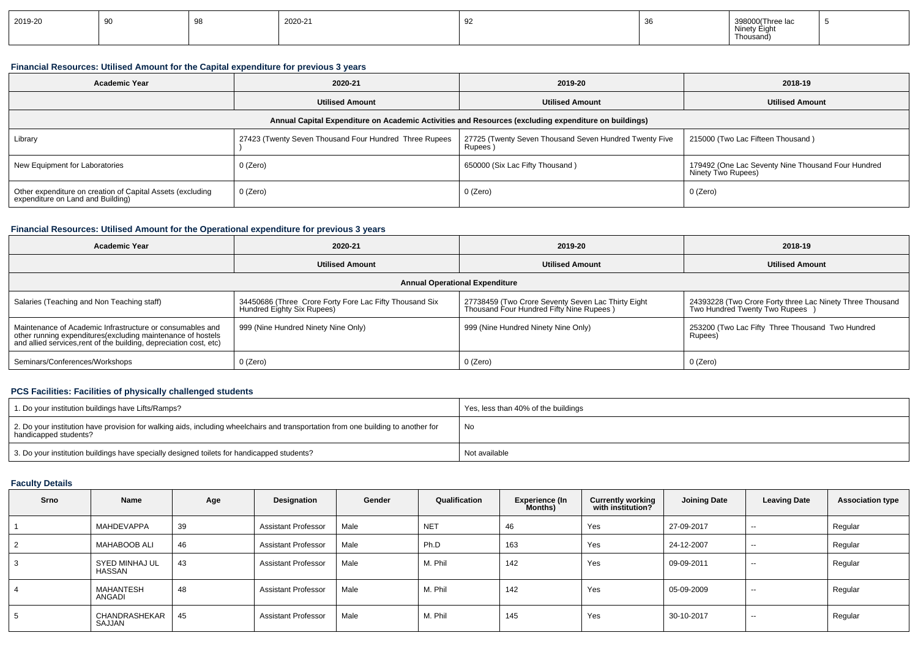| 2019-20 | -- |  | 2020-21 | ັ |  | $\ddot{\phantom{0}}$<br>Thousand, |  |
|---------|----|--|---------|---|--|-----------------------------------|--|
|---------|----|--|---------|---|--|-----------------------------------|--|

## **Financial Resources: Utilised Amount for the Capital expenditure for previous 3 years**

| 2020-21<br><b>Academic Year</b>                                                                      |                                                        | 2019-20                                                          | 2018-19                                                                  |  |  |  |  |  |  |  |
|------------------------------------------------------------------------------------------------------|--------------------------------------------------------|------------------------------------------------------------------|--------------------------------------------------------------------------|--|--|--|--|--|--|--|
|                                                                                                      | <b>Utilised Amount</b>                                 | <b>Utilised Amount</b>                                           | <b>Utilised Amount</b>                                                   |  |  |  |  |  |  |  |
| Annual Capital Expenditure on Academic Activities and Resources (excluding expenditure on buildings) |                                                        |                                                                  |                                                                          |  |  |  |  |  |  |  |
| Library                                                                                              | 27423 (Twenty Seven Thousand Four Hundred Three Rupees | 27725 (Twenty Seven Thousand Seven Hundred Twenty Five<br>Rupees | 215000 (Two Lac Fifteen Thousand)                                        |  |  |  |  |  |  |  |
| New Equipment for Laboratories                                                                       | $0$ (Zero)                                             | 650000 (Six Lac Fifty Thousand)                                  | 179492 (One Lac Seventy Nine Thousand Four Hundred<br>Ninety Two Rupees) |  |  |  |  |  |  |  |
| Other expenditure on creation of Capital Assets (excluding<br>expenditure on Land and Building)      | 0 (Zero)                                               | 0 (Zero)                                                         | 0 (Zero)                                                                 |  |  |  |  |  |  |  |

## **Financial Resources: Utilised Amount for the Operational expenditure for previous 3 years**

| <b>Academic Year</b><br>2020-21                                                                                                                                                                 |                                                                                       | 2019-20                                                                                        | 2018-19                                                                                    |  |  |  |  |  |  |
|-------------------------------------------------------------------------------------------------------------------------------------------------------------------------------------------------|---------------------------------------------------------------------------------------|------------------------------------------------------------------------------------------------|--------------------------------------------------------------------------------------------|--|--|--|--|--|--|
|                                                                                                                                                                                                 | <b>Utilised Amount</b>                                                                | <b>Utilised Amount</b>                                                                         | <b>Utilised Amount</b>                                                                     |  |  |  |  |  |  |
| <b>Annual Operational Expenditure</b>                                                                                                                                                           |                                                                                       |                                                                                                |                                                                                            |  |  |  |  |  |  |
| Salaries (Teaching and Non Teaching staff)                                                                                                                                                      | 34450686 (Three Crore Forty Fore Lac Fifty Thousand Six<br>Hundred Eighty Six Rupees) | 27738459 (Two Crore Seventy Seven Lac Thirty Eight<br>Thousand Four Hundred Fifty Nine Rupees) | 24393228 (Two Crore Forty three Lac Ninety Three Thousand<br>Two Hundred Twenty Two Rupees |  |  |  |  |  |  |
| Maintenance of Academic Infrastructure or consumables and<br>other running expenditures (excluding maintenance of hostels<br>and allied services, rent of the building, depreciation cost, etc) | 999 (Nine Hundred Ninety Nine Only)                                                   | 999 (Nine Hundred Ninety Nine Only)                                                            | 253200 (Two Lac Fifty Three Thousand Two Hundred<br>Rupees)                                |  |  |  |  |  |  |
| Seminars/Conferences/Workshops                                                                                                                                                                  | 0 (Zero)                                                                              | $0$ (Zero)                                                                                     | 0 (Zero)                                                                                   |  |  |  |  |  |  |

#### **PCS Facilities: Facilities of physically challenged students**

| 1. Do your institution buildings have Lifts/Ramps?                                                                                                         | Yes, less than 40% of the buildings |
|------------------------------------------------------------------------------------------------------------------------------------------------------------|-------------------------------------|
| 2. Do your institution have provision for walking aids, including wheelchairs and transportation from one building to another for<br>handicapped students? | No                                  |
| 3. Do your institution buildings have specially designed toilets for handicapped students?                                                                 | Not available                       |

## **Faculty Details**

| Srno | Name                     | Age | Designation                | Gender | Qualification | <b>Experience (In</b><br>Months) | <b>Currently working</b><br>with institution? | <b>Joining Date</b> | <b>Leaving Date</b> | <b>Association type</b> |
|------|--------------------------|-----|----------------------------|--------|---------------|----------------------------------|-----------------------------------------------|---------------------|---------------------|-------------------------|
|      | MAHDEVAPPA               | 39  | <b>Assistant Professor</b> | Male   | <b>NET</b>    | 46                               | Yes                                           | 27-09-2017          | $\sim$              | Regular                 |
| 2    | <b>MAHABOOB ALI</b>      | 46  | <b>Assistant Professor</b> | Male   | Ph.D          | 163                              | Yes                                           | 24-12-2007          | $-$                 | Regular                 |
| 3    | SYED MINHAJ UL<br>HASSAN | 43  | <b>Assistant Professor</b> | Male   | M. Phil       | 142                              | Yes                                           | 09-09-2011          | $-$                 | Regular                 |
| 4    | MAHANTESH<br>ANGADI      | 48  | <b>Assistant Professor</b> | Male   | M. Phil       | 142                              | Yes                                           | 05-09-2009          | $-$                 | Regular                 |
| 5    | CHANDRASHEKAR<br>SAJJAN  | 45  | <b>Assistant Professor</b> | Male   | M. Phil       | 145                              | Yes                                           | 30-10-2017          | $-$                 | Regular                 |